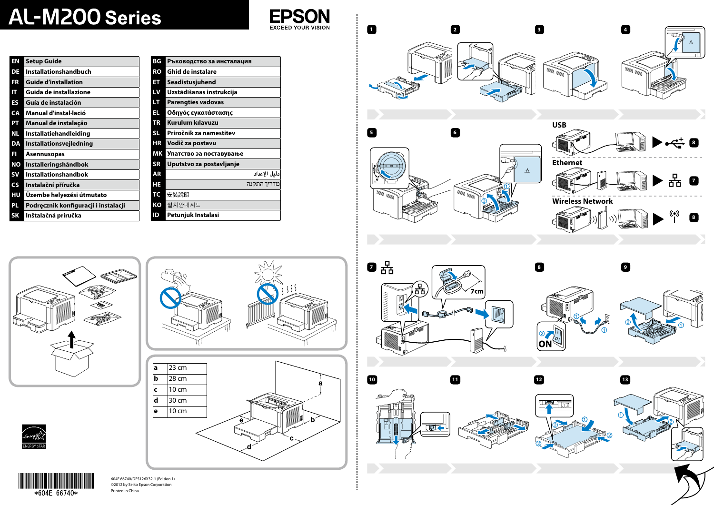$\sqrt{a}$  23 cm **b** 28 cm  $\vert$ **c** | 10 cm **d** 30 cm **e** 10 cm

604E 66740/DE5126X32-1 (Edition 1) ©2012 by Seiko Epson Corporation Printed in China









# **AL-M200 Series**

| EN        | <b>Setup Guide</b>                   | ΒG        |
|-----------|--------------------------------------|-----------|
| DE        | <b>Installationshandbuch</b>         | RO        |
| FR        | <b>Guide d'installation</b>          | ET        |
| IT        | Guida de installazione               | LV        |
| ES        | Guía de instalación                  | LT        |
| СA        | Manual d'instal·lació                | EL        |
| PT        | Manual de instalação                 | <b>TR</b> |
| ΝL        | Installatiehandleiding               | <b>SL</b> |
| DA        | Installationsvejledning              | HR        |
| FI        | <b>Asennusopas</b>                   | ΜK        |
| ΝŌ        | Installeringshåndbok                 | <b>SR</b> |
| SV        | <b>Installationshandbok</b>          | AR        |
| <b>CS</b> | Instalační příručka                  | HE        |
| HU        | Üzembe helyezési útmutato            | <b>TC</b> |
| PL.       | Podręcznik konfiguracji i instalacji | КO        |
| SK        | Inštalačná príručka                  | ID        |

| ΒG        | Ръководство за инсталация |
|-----------|---------------------------|
| RO        | Ghid de instalare         |
| EΤ        | Seadistusjuhend           |
| LV        | Uzstādīšanas instrukcija  |
| LT.       | <b>Parengties vadovas</b> |
| EL        | Οδηγός εγκατάστασης       |
| <b>TR</b> | <b>Kurulum kılavuzu</b>   |
| SL.       | Priročnik za namestitev   |
| ΗR        | Vodič za postavu          |
| <b>MK</b> | Упатство эа поставување   |
| <b>SR</b> | Uputstvo za postavljanje  |
| AR        | دليل الإعداد              |
| HE        | מדריך התקנה               |
| TC        | 安裝說明                      |
| ΚO        | 설치안내시트                    |
| ID        | Petunjuk Instalasi        |

**10**